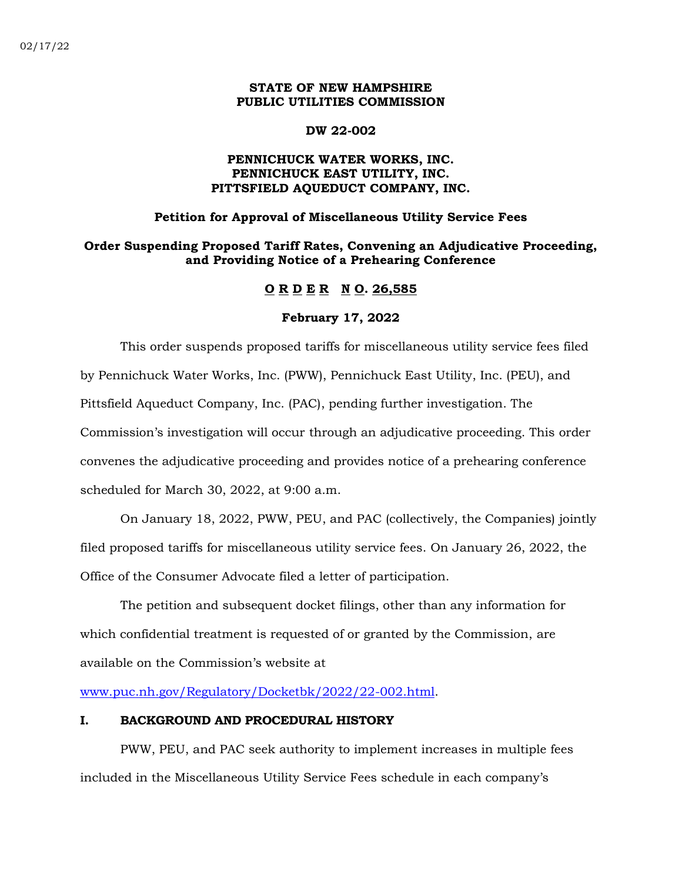# **STATE OF NEW HAMPSHIRE PUBLIC UTILITIES COMMISSION**

#### **DW 22-002**

# **PENNICHUCK WATER WORKS, INC. PENNICHUCK EAST UTILITY, INC. PITTSFIELD AQUEDUCT COMPANY, INC.**

### **Petition for Approval of Miscellaneous Utility Service Fees**

# **Order Suspending Proposed Tariff Rates, Convening an Adjudicative Proceeding, and Providing Notice of a Prehearing Conference**

# **O R D E R N O. 26,585**

#### **February 17, 2022**

This order suspends proposed tariffs for miscellaneous utility service fees filed by Pennichuck Water Works, Inc. (PWW), Pennichuck East Utility, Inc. (PEU), and Pittsfield Aqueduct Company, Inc. (PAC), pending further investigation. The Commission's investigation will occur through an adjudicative proceeding. This order convenes the adjudicative proceeding and provides notice of a prehearing conference scheduled for March 30, 2022, at 9:00 a.m.

On January 18, 2022, PWW, PEU, and PAC (collectively, the Companies) jointly filed proposed tariffs for miscellaneous utility service fees. On January 26, 2022, the Office of the Consumer Advocate filed a letter of participation.

The petition and subsequent docket filings, other than any information for which confidential treatment is requested of or granted by the Commission, are available on the Commission's website at

[www.puc.nh.gov/Regulatory/Docketbk/2022/22-002.html.](http://www.puc.nh.gov/Regulatory/Docketbk/2022/22-002.html)

# **I. BACKGROUND AND PROCEDURAL HISTORY**

PWW, PEU, and PAC seek authority to implement increases in multiple fees included in the Miscellaneous Utility Service Fees schedule in each company's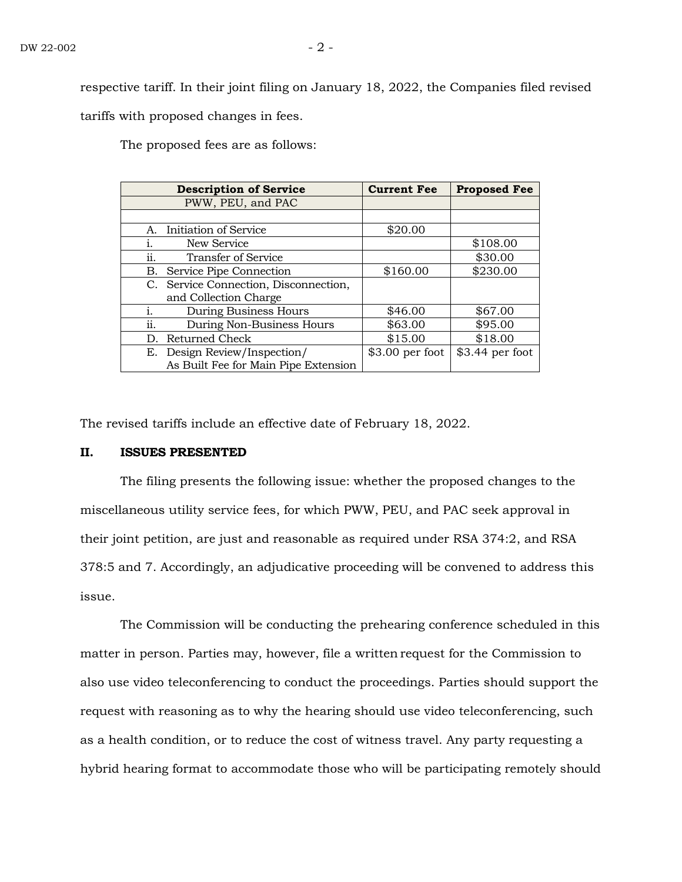respective tariff. In their joint filing on January 18, 2022, the Companies filed revised tariffs with proposed changes in fees.

The proposed fees are as follows:

|     | <b>Description of Service</b>         | <b>Current Fee</b> | <b>Proposed Fee</b> |
|-----|---------------------------------------|--------------------|---------------------|
|     | PWW, PEU, and PAC                     |                    |                     |
|     |                                       |                    |                     |
| А.  | Initiation of Service                 | \$20.00            |                     |
|     | New Service                           |                    | \$108.00            |
| ii. | <b>Transfer of Service</b>            |                    | \$30.00             |
| В.  | Service Pipe Connection               | \$160.00           | \$230.00            |
|     | C. Service Connection, Disconnection, |                    |                     |
|     | and Collection Charge                 |                    |                     |
| i.  | During Business Hours                 | \$46.00            | \$67.00             |
| ii. | During Non-Business Hours             | \$63.00            | \$95.00             |
| D.  | Returned Check                        | \$15.00            | \$18.00             |
| E.  | Design Review/Inspection/             | $$3.00$ per foot   | $$3.44$ per foot    |
|     | As Built Fee for Main Pipe Extension  |                    |                     |

The revised tariffs include an effective date of February 18, 2022.

#### **II. ISSUES PRESENTED**

The filing presents the following issue: whether the proposed changes to the miscellaneous utility service fees, for which PWW, PEU, and PAC seek approval in their joint petition, are just and reasonable as required under RSA 374:2, and RSA 378:5 and 7. Accordingly, an adjudicative proceeding will be convened to address this issue.

The Commission will be conducting the prehearing conference scheduled in this matter in person. Parties may, however, file a written request for the Commission to also use video teleconferencing to conduct the proceedings. Parties should support the request with reasoning as to why the hearing should use video teleconferencing, such as a health condition, or to reduce the cost of witness travel. Any party requesting a hybrid hearing format to accommodate those who will be participating remotely should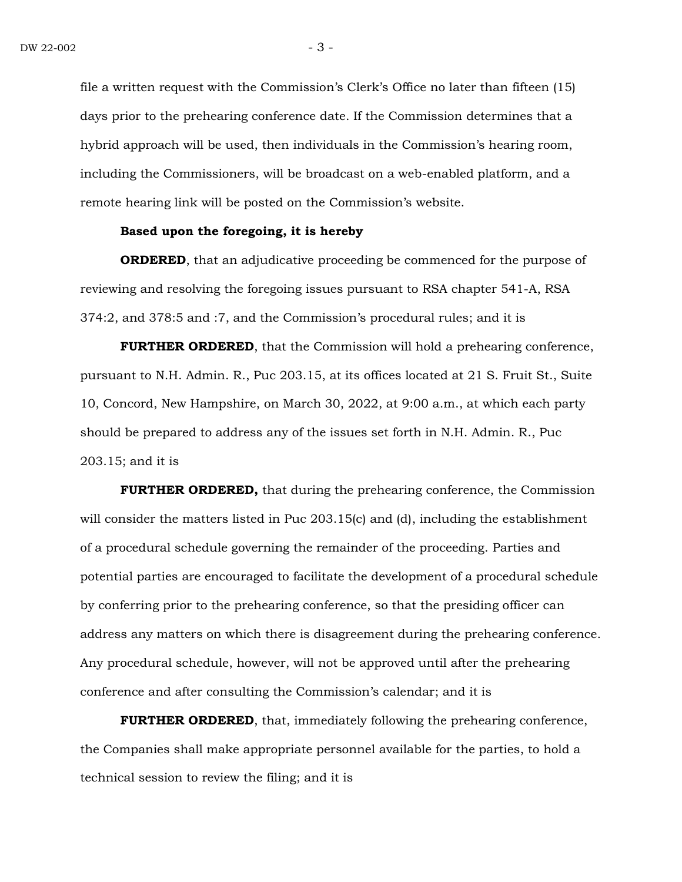file a written request with the Commission's Clerk's Office no later than fifteen (15) days prior to the prehearing conference date. If the Commission determines that a hybrid approach will be used, then individuals in the Commission's hearing room, including the Commissioners, will be broadcast on a web-enabled platform, and a remote hearing link will be posted on the Commission's website.

#### **Based upon the foregoing, it is hereby**

**ORDERED**, that an adjudicative proceeding be commenced for the purpose of reviewing and resolving the foregoing issues pursuant to RSA chapter 541-A, RSA 374:2, and 378:5 and :7, and the Commission's procedural rules; and it is

**FURTHER ORDERED**, that the Commission will hold a prehearing conference, pursuant to N.H. Admin. R., Puc 203.15, at its offices located at 21 S. Fruit St., Suite 10, Concord, New Hampshire, on March 30, 2022, at 9:00 a.m., at which each party should be prepared to address any of the issues set forth in N.H. Admin. R., Puc 203.15; and it is

**FURTHER ORDERED,** that during the prehearing conference, the Commission will consider the matters listed in Puc 203.15(c) and (d), including the establishment of a procedural schedule governing the remainder of the proceeding. Parties and potential parties are encouraged to facilitate the development of a procedural schedule by conferring prior to the prehearing conference, so that the presiding officer can address any matters on which there is disagreement during the prehearing conference. Any procedural schedule, however, will not be approved until after the prehearing conference and after consulting the Commission's calendar; and it is

**FURTHER ORDERED**, that, immediately following the prehearing conference, the Companies shall make appropriate personnel available for the parties, to hold a technical session to review the filing; and it is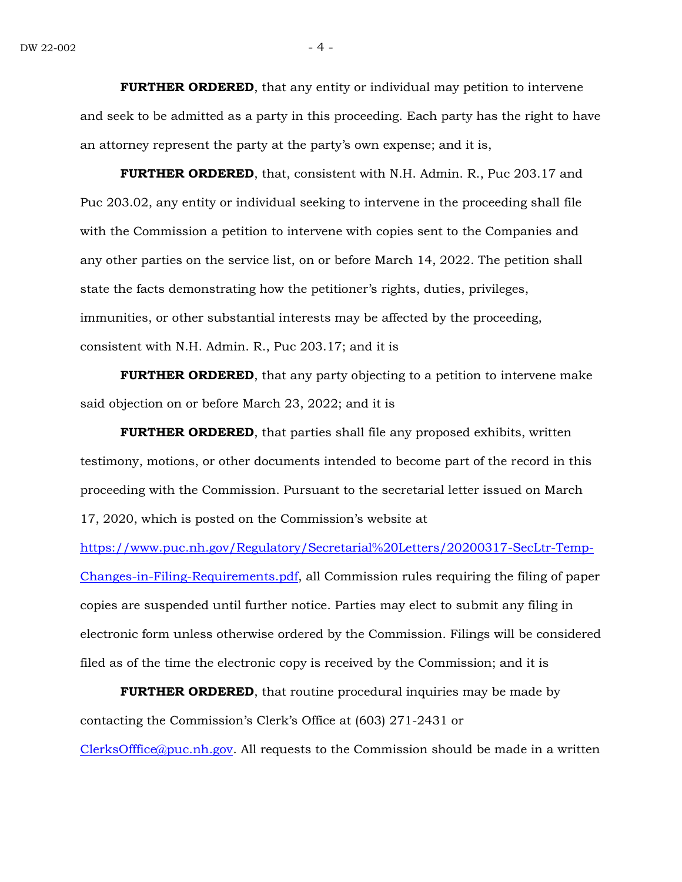**FURTHER ORDERED**, that any entity or individual may petition to intervene and seek to be admitted as a party in this proceeding. Each party has the right to have an attorney represent the party at the party's own expense; and it is,

**FURTHER ORDERED**, that, consistent with N.H. Admin. R., Puc 203.17 and Puc 203.02, any entity or individual seeking to intervene in the proceeding shall file with the Commission a petition to intervene with copies sent to the Companies and any other parties on the service list, on or before March 14, 2022. The petition shall state the facts demonstrating how the petitioner's rights, duties, privileges, immunities, or other substantial interests may be affected by the proceeding, consistent with N.H. Admin. R., Puc 203.17; and it is

**FURTHER ORDERED**, that any party objecting to a petition to intervene make said objection on or before March 23, 2022; and it is

**FURTHER ORDERED**, that parties shall file any proposed exhibits, written testimony, motions, or other documents intended to become part of the record in this proceeding with the Commission. Pursuant to the secretarial letter issued on March 17, 2020, which is posted on the Commission's website at

[https://www.puc.nh.gov/Regulatory/Secretarial%20Letters/20200317-SecLtr-Temp-](https://www.puc.nh.gov/Regulatory/Secretarial%20Letters/20200317-SecLtr-Temp-Changes-in-Filing-Requirements.pdf)[Changes-in-Filing-Requirements.pdf,](https://www.puc.nh.gov/Regulatory/Secretarial%20Letters/20200317-SecLtr-Temp-Changes-in-Filing-Requirements.pdf) all Commission rules requiring the filing of paper copies are suspended until further notice. Parties may elect to submit any filing in electronic form unless otherwise ordered by the Commission. Filings will be considered filed as of the time the electronic copy is received by the Commission; and it is

**FURTHER ORDERED**, that routine procedural inquiries may be made by contacting the Commission's Clerk's Office at (603) 271-2431 or [ClerksOfffice@puc.nh.gov.](mailto:ClerksOfffice@puc.nh.gov) All requests to the Commission should be made in a written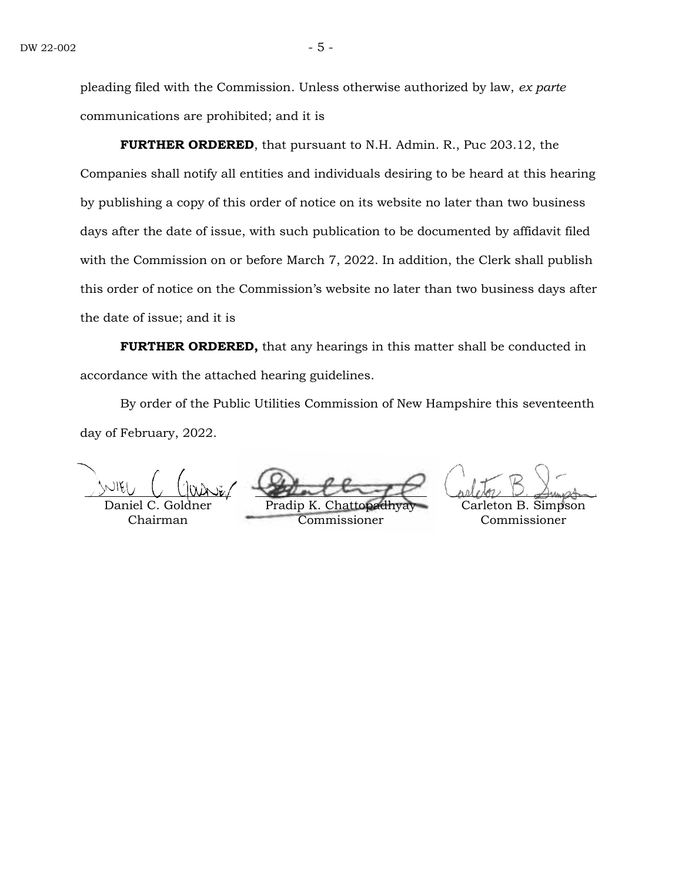pleading filed with the Commission. Unless otherwise authorized by law, *ex parte* communications are prohibited; and it is

**FURTHER ORDERED**, that pursuant to N.H. Admin. R., Puc 203.12, the Companies shall notify all entities and individuals desiring to be heard at this hearing by publishing a copy of this order of notice on its website no later than two business days after the date of issue, with such publication to be documented by affidavit filed with the Commission on or before March 7, 2022. In addition, the Clerk shall publish this order of notice on the Commission's website no later than two business days after the date of issue; and it is

**FURTHER ORDERED,** that any hearings in this matter shall be conducted in accordance with the attached hearing guidelines.

By order of the Public Utilities Commission of New Hampshire this seventeenth day of February, 2022.

Daniel C. Gold Chairman

Pradip K Commissioner

Carleton B. Simpson Commissioner